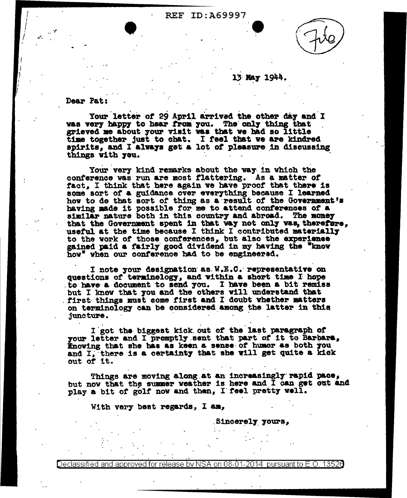## **REF ID: A69997**



## 13 May 1944.

Dear Pat:

Your letter of 29 April arrived the other day and I was very happy to hear from you. The only thing that grieved me about your visit was that we had so little time together just to chat. I feel that we are kindred spirits, and I always get a lot of pleasure in discussing things with you.

Your very kind remarks about the way in which the conference was run are most flattering. As a matter of fact. I think that here again we have proof that there is some sort of a guidance over everything because I learned how to de that sort of thing as a result of the Government's having made it possible for me to attend conferences of a similar nature both in this country and abroad. The money that the Government spent in that way not only was, therefore, useful at the time because I think I contributed materially to the work of those conferences, but also the experience gained paid a fairly good dividend in my having the "know how" when our conference had to be engineered.

I note your designation as W.E.C. representative on questions of terminelogy, and within a short time I hope to have a document to send you. I have been a bit remiss but I know that you and the others will understand that first things must come first and I doubt whether matters on terminology can be considered among the latter in this juncture.

I got the biggest kick out of the last paragraph of your letter and I promptly sent that part of it to Barbara, Knowing that she has as keen a sense of humor as both you and I, there is a certainty that she will get quite a kick out of it.

Things are moving along at an increasingly rapid pace, but now that the summer weather is here and I can get out and play a bit of golf now and then, I feel pretty well.

With very best regards, I am,

Sincerely yours,

Declassified and approved for release by NSA on 08-01-2014  $\,$  pursuant to E.O. 1352 $0$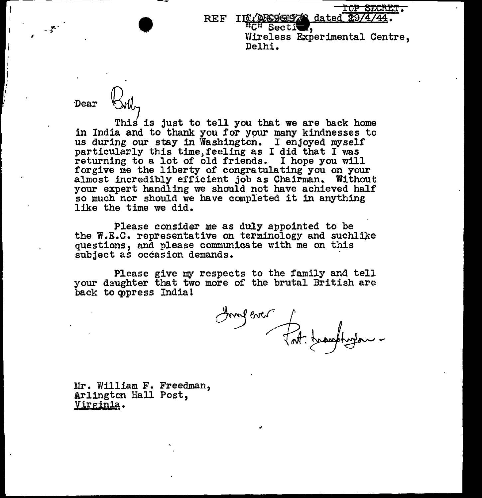<del>TOP SECRET.</del>

REF IN /**A699978** dated 29/4/44. Wireless Experimental Centre, Delhi.

-.r-. ,

Dear  $~\downarrow$   $~\downarrow$   $~\downarrow$   $~\downarrow$   $~\downarrow$   $~\downarrow$   $~\downarrow$   $~\downarrow$   $~\downarrow$   $~\downarrow$   $~\downarrow$   $~\downarrow$   $~\downarrow$   $~\downarrow$   $~\downarrow$   $~\downarrow$   $~\downarrow$   $~\downarrow$   $~\downarrow$   $~\downarrow$   $~\downarrow$   $~\downarrow$   $~\downarrow$   $~\downarrow$   $~\downarrow$   $~\downarrow$   $~\downarrow$   $~\downarrow$   $~\downarrow$   $~\downarrow$   $~\downarrow$ in India and to thank you for your many kindnesses to us during our stay in Washington. I enjoyed myself particularly this time,feeling as I did that I was returning to a lot of old friends. I hope you will<br>forgive me the liberty of congratulating you on your almost incredibly efficient job as Chairman, Without your expert handling we should not have achieved half so much nor should we have completed it in anything like the time we did.

Please consider me as duly appointed to be the W.E.C. representative on terminology and suchlike questions, and please communicate with me on this subject as occasion demands.

Please give my respects to the family and tell your daughter that two more of the brutal British are back to oppress India!

Hongever fat tombles

.Mr. William F. Freedman, Arlington Hall Post, Virginia.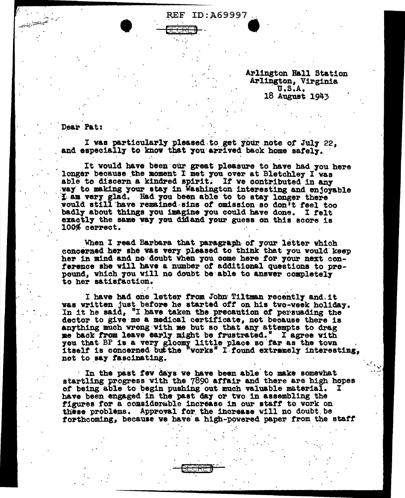**REF ID:A69997** 

Arlington Hall Station Arlington, Virginia  $U.S.A.$ 18 August 1943

Dear Pat:

I was particularly pleased to get your note of July 22, and especially to know that you arrived back home safely.

It would have been our great pleasure to have had you here longer because the moment I met you over at Bletchley I was able to discern a kindred spirit. If we contributed in any way to making your stay in Washington interesting and enjoyable I am very glad. Had you been able to to stay longer there would still have remained sins of omission so don't feel too badly about things you imagine you could have done. I felt exactly the same way you didand your guess on this score is 100% cerrect.

When I read Barbara that paragraph of your letter which concerned her she was very pleased to think that you would keep her in mind and no doubt when you come here for your next conference she will have a number of additional questions to propound, which you will no doubt be able to answer completely to her satisfaction.

I have had one letter from John Tiltman recently and it was written just before he started off on his two-week holiday. In it he said, "I have taken the precaution of persuading the dector to give me a medical certificate, not because there is anything much wrong with me but so that any attempts to drag me back from leave early might be frustrated." I agree with you that BP is a very gloomy little place so far as the town itself is concerned but the "works" I found extramely interesting, not to say fascinating.

In the past few days we have been able to make somewhat startling progress with the 7890 affair and there are high hopes of being able to begin pushing out much valuable material. have been engaged in the past day or two in assembling the figures for a considerable increase in our staff to work on these problems. Approval for the increase will no doubt be forthcoming, because we have a high-powered paper from the staff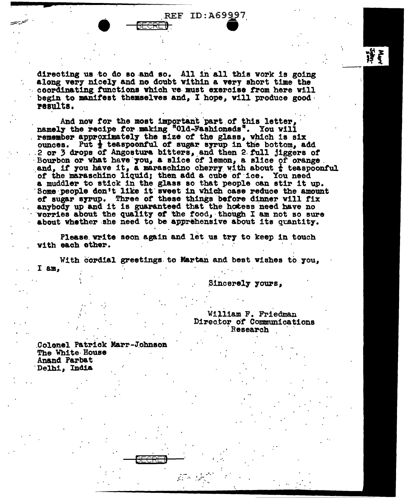**REF ID: A69997** 

directing us to do so and so. All in all this work is going along very nicely and no doubt within a very short time the coordinating functions which we must exercise from here will begin to manifest themselves and. I hope, will produce good. results.

And now for the most important part of this letter, namely the recipe for making "Old-Fashioneds". You will remember approximately the size of the glass, which is six ounces. Put  $\frac{1}{2}$  teaspoonful of sugar syrup in the bottom, add 2 or 3 drops of Angostura bitters, and then 2 full jiggers of Bourbon or what have you, a slice of lemon, a slice of orange. and, if you have it, a maraschino cherry with about  $\frac{1}{k}$  teaspoonful of the maraschino liquid; then add a cube of ice. You need a muddler to stick in the glass so that people can stir it up. Some people don't like it sweet in which case reduce the amount of sugar syrup. Three of these things before dinner will fix anybody up and it is guaranteed that the hotess need have no worries about the quality of the food, though I am not so sure about whether she need to be apprehensive about its quantity.

Please write soon again and let us try to keep in touch with each ether.

With cordial greetings to Martan and best wishes to you, I am.

30 m n

Sincerely yours,

William F. Friedman Director of Communications Research

Colonel Patrick Marr-Johnson The White House Anand Parbat Delhi, India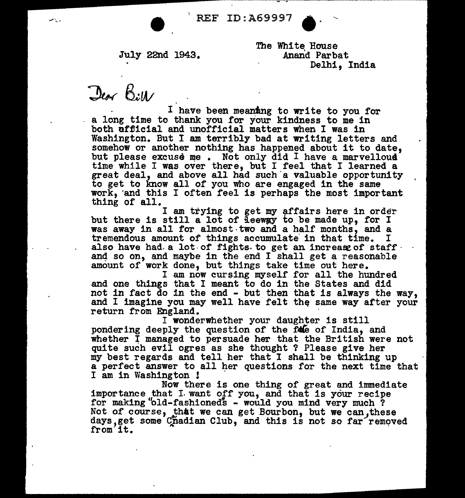July 22nd 1943.

The White House Anand Parbat Delhi, India

 $\Delta \omega$   $\beta$ :11/

I have been meaning to write to you for a long time to thank you tor your kindness to me in both official and unofficial matters when I was in Washington. But I am terribly bad at writing letters and somehow or another nothing has happened about it to date, but please excuse me. Not only did I have a marvelloud time while I was over there, but I feel that I learned a great deal, and above all had such a valuable opportunity to get to know all of you who are engaged in the same work, 'and this I often feel is perhaps the most important thing of all.

I am trying to get my affairs here in order but there is still a lot of  $\tilde{A}$  eeway to be made up, for I was away in all for almost two and a half months, and a tremendous amount of things accumulate in that time. I tremendous amount of things accumulate in that time. I also have had a lot of fights. to get an increase of staff and so on, and maybe in the end  $I$  shall get a reasonable amount of work done, but things take time out here.

I am now cursing myself for all the hundred and one things that I meant to do in the States and did not in fact do in the end - but then that is always the way. and I imagine you may well have felt the same way after your return from England.

I wonderwhether your daughter is still pondering deeply the question of the fale of India, and whether  $\bar{I}$  managed to persuade her that the British were not quite such evil ogres as she thought ? Please give her my best regards and tell her that I shall be thinking up a perfect answer to all her questions for the next time that I am in Washington !

Now there is one thing of great and immediate importance that I want off you, and that is your recipe for making "old-fashioned"s - would you mind very much? Not of course, that we can get Bourbon, but we can, these days, get some Chadian Club, and this is not so far removed from it.